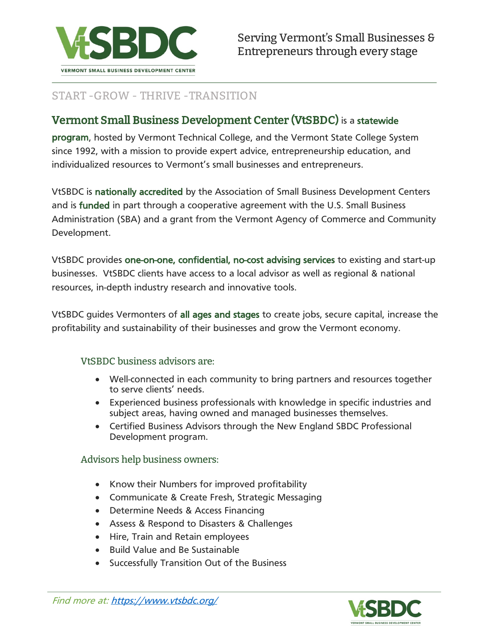

#### START -GROW - THRIVE -TRANSITION

#### Vermont Small Business Development Center (VtSBDC) is a statewide

program, hosted by Vermont Technical College, and the Vermont State College System since 1992, with a mission to provide expert advice, entrepreneurship education, and individualized resources to Vermont's small businesses and entrepreneurs.

VtSBDC is nationally accredited by the Association of Small Business Development Centers and is funded in part through a cooperative agreement with the U.S. Small Business Administration (SBA) and a grant from the Vermont Agency of Commerce and Community Development.

VtSBDC provides one-on-one, confidential, no-cost advising services to existing and start-up businesses. VtSBDC clients have access to a local advisor as well as regional & national resources, in-depth industry research and innovative tools.

VtSBDC guides Vermonters of all ages and stages to create jobs, secure capital, increase the profitability and sustainability of their businesses and grow the Vermont economy.

#### VtSBDC business advisors are:

- Well-connected in each community to bring partners and resources together to serve clients' needs.
- Experienced business professionals with knowledge in specific industries and subject areas, having owned and managed businesses themselves.
- Certified Business Advisors through the New England SBDC Professional Development program.

#### Advisors help business owners:

- Know their Numbers for improved profitability
- Communicate & Create Fresh, Strategic Messaging
- Determine Needs & Access Financing
- Assess & Respond to Disasters & Challenges
- Hire, Train and Retain employees
- Build Value and Be Sustainable
- Successfully Transition Out of the Business

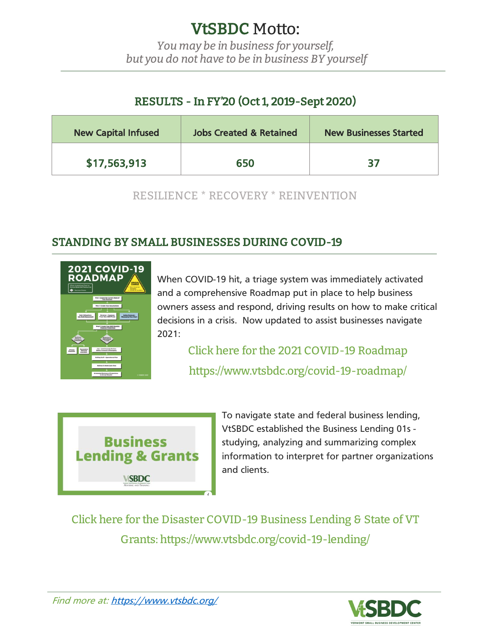# VtSBDC Motto:

*You may be in business for yourself, but you do not have to be in business BY yourself*

# RESULTS - In FY'20 (Oct 1, 2019-Sept 2020)

| <b>New Capital Infused</b> | <b>Jobs Created &amp; Retained</b> | <b>New Businesses Started</b> |
|----------------------------|------------------------------------|-------------------------------|
| \$17,563,913               | 650                                | 37                            |

RESILIENCE \* RECOVERY \* REINVENTION

### STANDING BY SMALL BUSINESSES DURING COVID-19



When COVID-19 hit, a triage system was immediately activated and a comprehensive Roadmap put in place to help business owners assess and respond, driving results on how to make critical decisions in a crisis. Now updated to assist businesses navigate 2021:

> Click here for the 2021 COVID-19 Roadmap https://www.vtsbdc.org/covid-19-roadmap/



To navigate state and federal business lending, VtSBDC established the Business Lending 01s studying, analyzing and summarizing complex information to interpret for partner organizations and clients.

Click here for the Disaster COVID-19 Business Lending & State of VT Grants: https://www.vtsbdc.org/covid-19-lending/

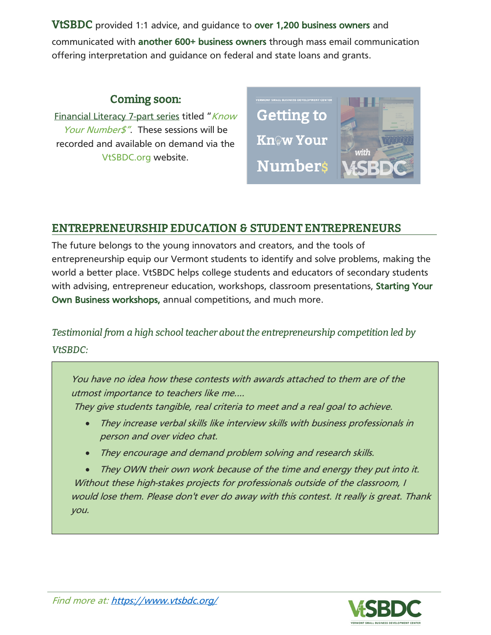VtSBDC provided 1:1 advice, and guidance to over 1,200 business owners and communicated with another 600+ business owners through mass email communication

offering interpretation and guidance on federal and state loans and grants.

#### Coming soon:

Financial Literacy 7-part series titled "Know Your Number<sup>s"</sup>. These sessions will be recorded and available on demand via the VtSBDC.org website.



#### ENTREPRENEURSHIP EDUCATION & STUDENT ENTREPRENEURS

The future belongs to the young innovators and creators, and the tools of entrepreneurship equip our Vermont students to identify and solve problems, making the world a better place. VtSBDC helps college students and educators of secondary students with advising, entrepreneur education, workshops, classroom presentations, Starting Your Own Business workshops, annual competitions, and much more.

*Testimonial from a high school teacher about the entrepreneurship competition led by VtSBDC:*

You have no idea how these contests with awards attached to them are of the utmost importance to teachers like me....

They give students tangible, real criteria to meet and <sup>a</sup> real goal to achieve.

- They increase verbal skills like interview skills with business professionals in person and over video chat.
- They encourage and demand problem solving and research skills.

• They OWN their own work because of the time and energy they put into it. Without these high-stakes projects for professionals outside of the classroom, I would lose them. Please don't ever do away with this contest. It really is great. Thank you.